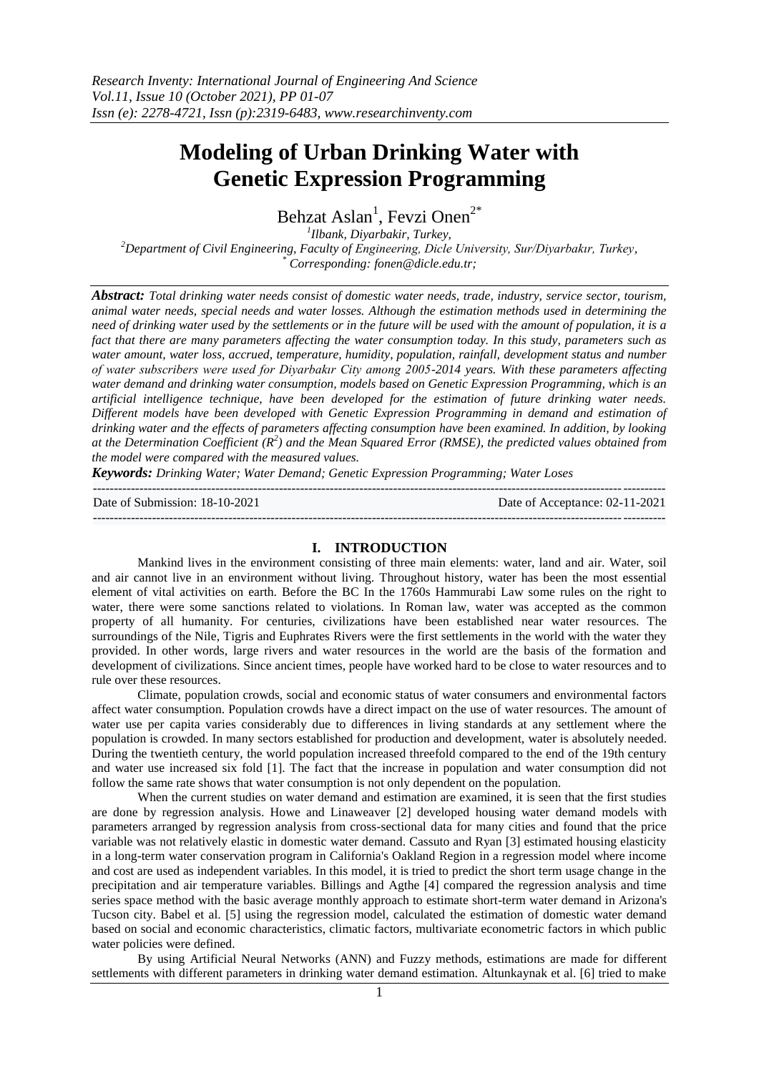# **Modeling of Urban Drinking Water with Genetic Expression Programming**

Behzat Aslan<sup>1</sup>, Fevzi Onen<sup>2\*</sup>

*1 Ilbank, Diyarbakir, Turkey, <sup>2</sup>Department of Civil Engineering, Faculty of Engineering, Dicle University, Sur/Diyarbakır, Turkey, \* Corresponding[: fonen@dicle.edu.tr;](mailto:fonen@dicle.edu.tr)*

*Abstract: Total drinking water needs consist of domestic water needs, trade, industry, service sector, tourism, animal water needs, special needs and water losses. Although the estimation methods used in determining the need of drinking water used by the settlements or in the future will be used with the amount of population, it is a fact that there are many parameters affecting the water consumption today. In this study, parameters such as water amount, water loss, accrued, temperature, humidity, population, rainfall, development status and number of water subscribers were used for Diyarbakır City among 2005-2014 years. With these parameters affecting water demand and drinking water consumption, models based on Genetic Expression Programming, which is an artificial intelligence technique, have been developed for the estimation of future drinking water needs. Different models have been developed with Genetic Expression Programming in demand and estimation of drinking water and the effects of parameters affecting consumption have been examined. In addition, by looking at the Determination Coefficient (R<sup>2</sup> ) and the Mean Squared Error (RMSE), the predicted values obtained from the model were compared with the measured values.*

*Keywords: Drinking Water; Water Demand; Genetic Expression Programming; Water Loses*

Date of Submission: 18-10-2021 Date of Acceptance: 02-11-2021

## **I. INTRODUCTION**

---------------------------------------------------------------------------------------------------------------------------------------

 $-1\leq i\leq n-1$ 

Mankind lives in the environment consisting of three main elements: water, land and air. Water, soil and air cannot live in an environment without living. Throughout history, water has been the most essential element of vital activities on earth. Before the BC In the 1760s Hammurabi Law some rules on the right to water, there were some sanctions related to violations. In Roman law, water was accepted as the common property of all humanity. For centuries, civilizations have been established near water resources. The surroundings of the Nile, Tigris and Euphrates Rivers were the first settlements in the world with the water they provided. In other words, large rivers and water resources in the world are the basis of the formation and development of civilizations. Since ancient times, people have worked hard to be close to water resources and to rule over these resources.

Climate, population crowds, social and economic status of water consumers and environmental factors affect water consumption. Population crowds have a direct impact on the use of water resources. The amount of water use per capita varies considerably due to differences in living standards at any settlement where the population is crowded. In many sectors established for production and development, water is absolutely needed. During the twentieth century, the world population increased threefold compared to the end of the 19th century and water use increased six fold [1]. The fact that the increase in population and water consumption did not follow the same rate shows that water consumption is not only dependent on the population.

When the current studies on water demand and estimation are examined, it is seen that the first studies are done by regression analysis. Howe and Linaweaver [2] developed housing water demand models with parameters arranged by regression analysis from cross-sectional data for many cities and found that the price variable was not relatively elastic in domestic water demand. Cassuto and Ryan [3] estimated housing elasticity in a long-term water conservation program in California's Oakland Region in a regression model where income and cost are used as independent variables. In this model, it is tried to predict the short term usage change in the precipitation and air temperature variables. Billings and Agthe [4] compared the regression analysis and time series space method with the basic average monthly approach to estimate short-term water demand in Arizona's Tucson city. Babel et al. [5] using the regression model, calculated the estimation of domestic water demand based on social and economic characteristics, climatic factors, multivariate econometric factors in which public water policies were defined.

By using Artificial Neural Networks (ANN) and Fuzzy methods, estimations are made for different settlements with different parameters in drinking water demand estimation. Altunkaynak et al. [6] tried to make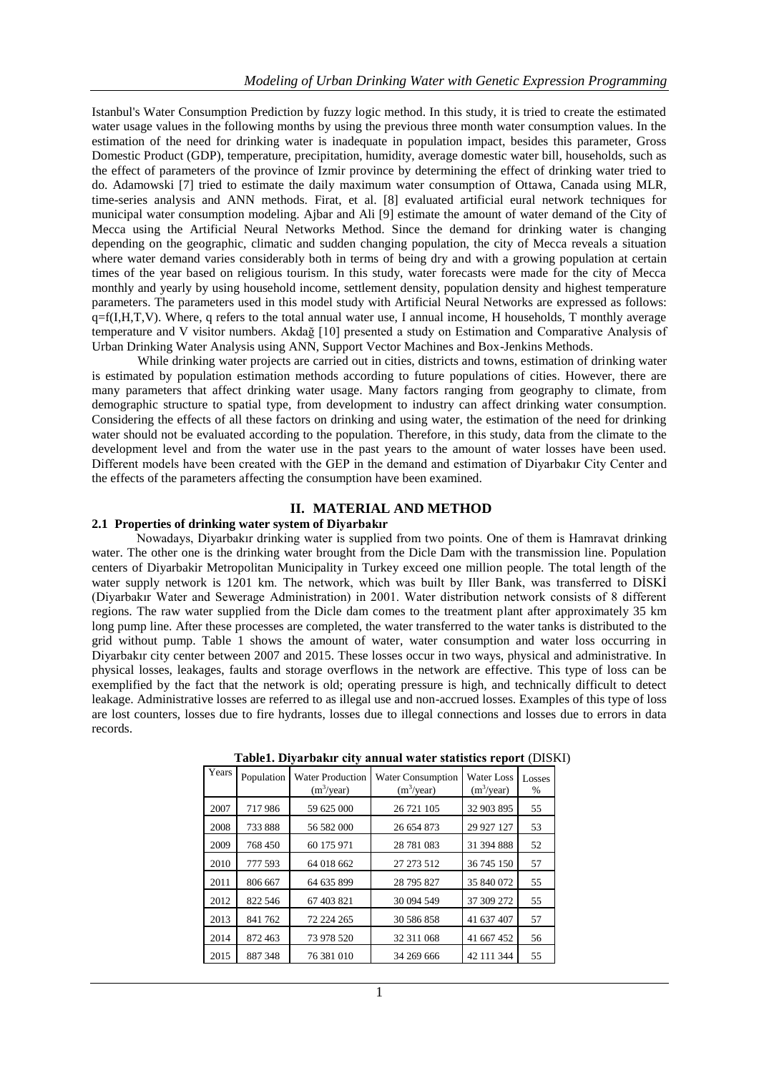Istanbul's Water Consumption Prediction by fuzzy logic method. In this study, it is tried to create the estimated water usage values in the following months by using the previous three month water consumption values. In the estimation of the need for drinking water is inadequate in population impact, besides this parameter, Gross Domestic Product (GDP), temperature, precipitation, humidity, average domestic water bill, households, such as the effect of parameters of the province of Izmir province by determining the effect of drinking water tried to do. Adamowski [7] tried to estimate the daily maximum water consumption of Ottawa, Canada using MLR, time-series analysis and ANN methods. Firat, et al. [8] evaluated artificial eural network techniques for municipal water consumption modeling. Ajbar and Ali [9] estimate the amount of water demand of the City of Mecca using the Artificial Neural Networks Method. Since the demand for drinking water is changing depending on the geographic, climatic and sudden changing population, the city of Mecca reveals a situation where water demand varies considerably both in terms of being dry and with a growing population at certain times of the year based on religious tourism. In this study, water forecasts were made for the city of Mecca monthly and yearly by using household income, settlement density, population density and highest temperature parameters. The parameters used in this model study with Artificial Neural Networks are expressed as follows:  $q=f(I,H,T,V)$ . Where, q refers to the total annual water use, I annual income, H households, T monthly average temperature and V visitor numbers. Akdağ [10] presented a study on Estimation and Comparative Analysis of Urban Drinking Water Analysis using ANN, Support Vector Machines and Box-Jenkins Methods.

While drinking water projects are carried out in cities, districts and towns, estimation of drinking water is estimated by population estimation methods according to future populations of cities. However, there are many parameters that affect drinking water usage. Many factors ranging from geography to climate, from demographic structure to spatial type, from development to industry can affect drinking water consumption. Considering the effects of all these factors on drinking and using water, the estimation of the need for drinking water should not be evaluated according to the population. Therefore, in this study, data from the climate to the development level and from the water use in the past years to the amount of water losses have been used. Different models have been created with the GEP in the demand and estimation of Diyarbakır City Center and the effects of the parameters affecting the consumption have been examined.

## **II. MATERIAL AND METHOD**

## **2.1 Properties of drinking water system of Diyarbakır**

Nowadays, Diyarbakır drinking water is supplied from two points. One of them is Hamravat drinking water. The other one is the drinking water brought from the Dicle Dam with the transmission line. Population centers of Diyarbakir Metropolitan Municipality in Turkey exceed one million people. The total length of the water supply network is 1201 km. The network, which was built by Iller Bank, was transferred to DİSKİ (Diyarbakır Water and Sewerage Administration) in 2001. Water distribution network consists of 8 different regions. The raw water supplied from the Dicle dam comes to the treatment plant after approximately 35 km long pump line. After these processes are completed, the water transferred to the water tanks is distributed to the grid without pump. Table 1 shows the amount of water, water consumption and water loss occurring in Diyarbakır city center between 2007 and 2015. These losses occur in two ways, physical and administrative. In physical losses, leakages, faults and storage overflows in the network are effective. This type of loss can be exemplified by the fact that the network is old; operating pressure is high, and technically difficult to detect leakage. Administrative losses are referred to as illegal use and non-accrued losses. Examples of this type of loss are lost counters, losses due to fire hydrants, losses due to illegal connections and losses due to errors in data records.

| Years | Population | <b>Water Production</b><br>(m <sup>3</sup> /year) | <b>Water Consumption</b><br>$(m^3$ /year) | Water Loss<br>$(m^3$ /year) | Losses<br>$\%$ |
|-------|------------|---------------------------------------------------|-------------------------------------------|-----------------------------|----------------|
| 2007  | 717986     | 59 625 000                                        | 26 721 105                                | 32 903 895                  | 55             |
| 2008  | 733 888    | 56 582 000                                        | 26 654 873                                | 29 927 127                  | 53             |
| 2009  | 768 450    | 60 175 971                                        | 28 781 083                                | 31 394 888                  | 52             |
| 2010  | 777 593    | 64 018 662                                        | 27 273 512                                | 36 745 150                  | 57             |
| 2011  | 806 667    | 64 635 899                                        | 28 795 827                                | 35 840 072                  | 55             |
| 2012  | 822 546    | 67 403 821                                        | 30 094 549                                | 37 309 272                  | 55             |
| 2013  | 841 762    | 72 224 265                                        | 30 586 858                                | 41 637 407                  | 57             |
| 2014  | 872 463    | 73 978 520                                        | 32 311 068                                | 41 667 452                  | 56             |
| 2015  | 887 348    | 76 381 010                                        | 34 269 666                                | 42 111 344                  | 55             |

**Table1. Diyarbakır city annual water statistics report** (DISKI)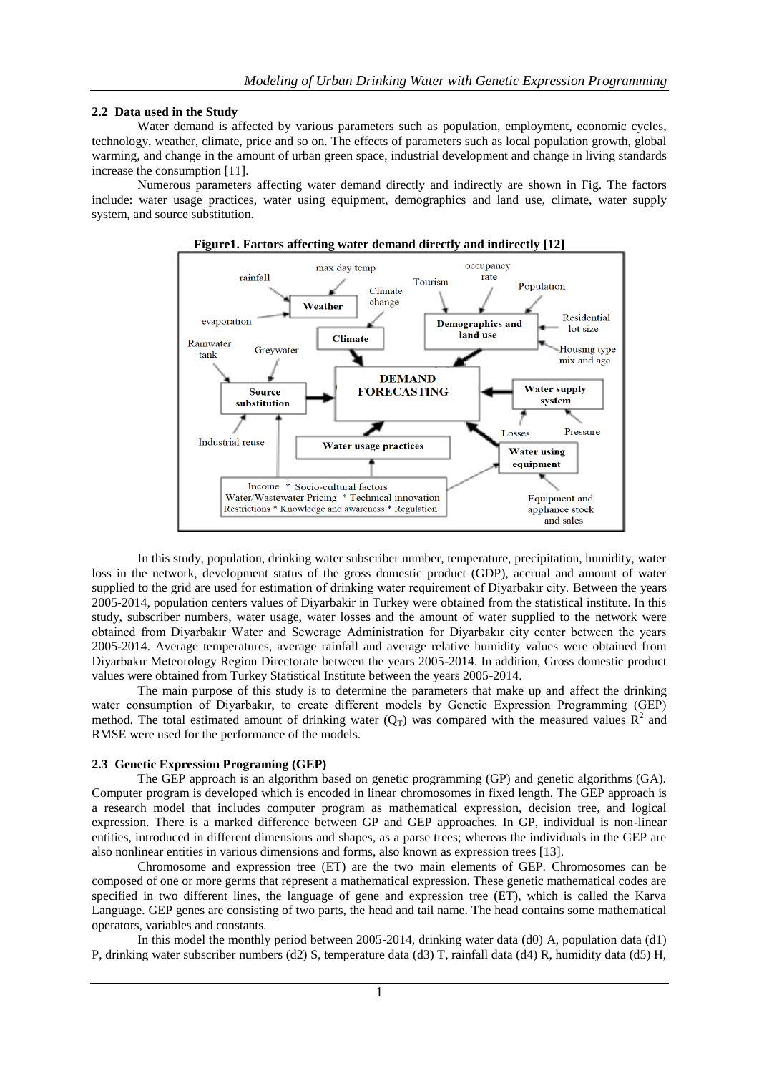# **2.2 Data used in the Study**

Water demand is affected by various parameters such as population, employment, economic cycles, technology, weather, climate, price and so on. The effects of parameters such as local population growth, global warming, and change in the amount of urban green space, industrial development and change in living standards increase the consumption [11].

Numerous parameters affecting water demand directly and indirectly are shown in Fig. The factors include: water usage practices, water using equipment, demographics and land use, climate, water supply system, and source substitution.



In this study, population, drinking water subscriber number, temperature, precipitation, humidity, water loss in the network, development status of the gross domestic product (GDP), accrual and amount of water supplied to the grid are used for estimation of drinking water requirement of Diyarbakır city. Between the years 2005-2014, population centers values of Diyarbakir in Turkey were obtained from the statistical institute. In this study, subscriber numbers, water usage, water losses and the amount of water supplied to the network were obtained from Diyarbakır Water and Sewerage Administration for Diyarbakır city center between the years 2005-2014. Average temperatures, average rainfall and average relative humidity values were obtained from Diyarbakır Meteorology Region Directorate between the years 2005-2014. In addition, Gross domestic product values were obtained from Turkey Statistical Institute between the years 2005-2014.

The main purpose of this study is to determine the parameters that make up and affect the drinking water consumption of Diyarbakır, to create different models by Genetic Expression Programming (GEP) method. The total estimated amount of drinking water  $(Q_T)$  was compared with the measured values  $R^2$  and RMSE were used for the performance of the models.

## **2.3 Genetic Expression Programing (GEP)**

The GEP approach is an algorithm based on genetic programming (GP) and genetic algorithms (GA). Computer program is developed which is encoded in linear chromosomes in fixed length. The GEP approach is a research model that includes computer program as mathematical expression, decision tree, and logical expression. There is a marked difference between GP and GEP approaches. In GP, individual is non-linear entities, introduced in different dimensions and shapes, as a parse trees; whereas the individuals in the GEP are also nonlinear entities in various dimensions and forms, also known as expression trees [13].

Chromosome and expression tree (ET) are the two main elements of GEP. Chromosomes can be composed of one or more germs that represent a mathematical expression. These genetic mathematical codes are specified in two different lines, the language of gene and expression tree (ET), which is called the Karva Language. GEP genes are consisting of two parts, the head and tail name. The head contains some mathematical operators, variables and constants.

In this model the monthly period between 2005-2014, drinking water data (d0) A, population data (d1) P, drinking water subscriber numbers (d2) S, temperature data (d3) T, rainfall data (d4) R, humidity data (d5) H,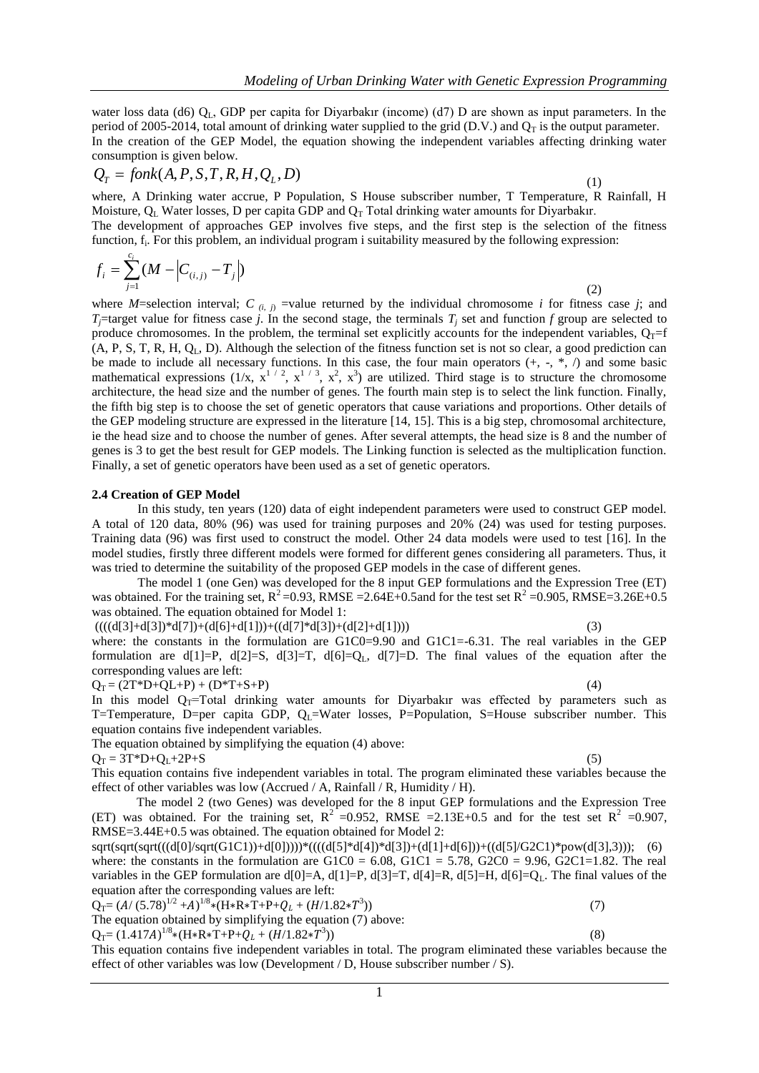water loss data (d6)  $Q_L$ , GDP per capita for Diyarbakır (income) (d7) D are shown as input parameters. In the period of 2005-2014, total amount of drinking water supplied to the grid (D.V.) and  $Q_T$  is the output parameter. In the creation of the GEP Model, the equation showing the independent variables affecting drinking water consumption is given below.

$$
Q_T = f on k(A, P, S, T, R, H, Q_L, D)
$$
\n<sup>(1)</sup>

where, A Drinking water accrue, P Population, S House subscriber number, T Temperature, R Rainfall, H Moisture,  $Q_L$  Water losses, D per capita GDP and  $Q_T$  Total drinking water amounts for Diyarbakır.

The development of approaches GEP involves five steps, and the first step is the selection of the fitness function, f<sub>i</sub>. For this problem, an individual program i suitability measured by the following expression:

$$
f_i = \sum_{j=1}^{c_i} (M - \left| C_{(i,j)} - T_j \right|)
$$
\n(2)

where *M*=selection interval; *C*  $(i, j)$  =value returned by the individual chromosome *i* for fitness case *j*; and *T*<sub>*j*</sub>=target value for fitness case *j*. In the second stage, the terminals *T<sub>i</sub>* set and function *f* group are selected to produce chromosomes. In the problem, the terminal set explicitly accounts for the independent variables,  $Q_T=f$  $(A, P, S, T, R, H, Q<sub>L</sub>, D)$ . Although the selection of the fitness function set is not so clear, a good prediction can be made to include all necessary functions. In this case, the four main operators (+, -, \*, /) and some basic mathematical expressions  $(1/x, x^{1/2}, x^{1/3}, x^2, x^3)$  are utilized. Third stage is to structure the chromosome architecture, the head size and the number of genes. The fourth main step is to select the link function. Finally, the fifth big step is to choose the set of genetic operators that cause variations and proportions. Other details of the GEP modeling structure are expressed in the literature [14, 15]. This is a big step, chromosomal architecture, ie the head size and to choose the number of genes. After several attempts, the head size is 8 and the number of genes is 3 to get the best result for GEP models. The Linking function is selected as the multiplication function. Finally, a set of genetic operators have been used as a set of genetic operators.

#### **2.4 Creation of GEP Model**

In this study, ten years (120) data of eight independent parameters were used to construct GEP model. A total of 120 data, 80% (96) was used for training purposes and 20% (24) was used for testing purposes. Training data (96) was first used to construct the model. Other 24 data models were used to test [16]. In the model studies, firstly three different models were formed for different genes considering all parameters. Thus, it was tried to determine the suitability of the proposed GEP models in the case of different genes.

The model 1 (one Gen) was developed for the 8 input GEP formulations and the Expression Tree (ET) was obtained. For the training set,  $R^2$ =0.93, RMSE =2.64E+0.5and for the test set  $R^2$  =0.905, RMSE=3.26E+0.5 was obtained. The equation obtained for Model 1:

 $(((d[3]+d[3]) * d[7]) + (d[6]+d[1])) + ((d[7] * d[3]) + (d[2]+d[1]))$  (3)

where: the constants in the formulation are  $G1C0=9.90$  and  $G1C1=-6.31$ . The real variables in the GEP formulation are d[1]=P, d[2]=S, d[3]=T, d[6]=Q<sub>L</sub>, d[7]=D. The final values of the equation after the corresponding values are left:

 $Q_T = (2T^*D+QL+P) + (D^*T+S+P)$  (4)

In this model  $Q_T$ =Total drinking water amounts for Diyarbakır was effected by parameters such as T=Temperature, D=per capita GDP,  $Q_L$ =Water losses, P=Population, S=House subscriber number. This equation contains five independent variables.

The equation obtained by simplifying the equation (4) above:

 $Q_T = 3T^*D + Q_L + 2P + S$  (5)

This equation contains five independent variables in total. The program eliminated these variables because the effect of other variables was low (Accrued / A, Rainfall / R, Humidity / H).

The model 2 (two Genes) was developed for the 8 input GEP formulations and the Expression Tree (ET) was obtained. For the training set,  $R^2 = 0.952$ , RMSE = 2.13E+0.5 and for the test set  $R^2 = 0.907$ , RMSE=3.44E+0.5 was obtained. The equation obtained for Model 2:

sqrt(sqrt(sqrt(((d[0]/sqrt(G1C1))+d[0]))))\*((((d[5]\*d[4])\*d[3])+(d[1]+d[6]))+((d[5]/G2C1)\*pow(d[3],3))); (6) where: the constants in the formulation are  $G1C0 = 6.08$ ,  $G1C1 = 5.78$ ,  $G2C0 = 9.96$ ,  $G2C1 = 1.82$ . The real variables in the GEP formulation are d[0]=A, d[1]=P, d[3]=T, d[4]=R, d[5]=H, d[6]=Q<sub>L</sub>. The final values of the equation after the corresponding values are left:

 $Q_T = (A/(5.78)^{1/2} + A)^{1/8} * (H * R * T + P + Q_L + (H/1.82 * T^3))$  $))$  (7)

The equation obtained by simplifying the equation (7) above:  $Q_T = (1.417A)^{1/8} * (H * R * T + P + Q_L + (H/1.82 * T^3))$ ))  $(8)$ 

This equation contains five independent variables in total. The program eliminated these variables because the effect of other variables was low (Development / D, House subscriber number / S).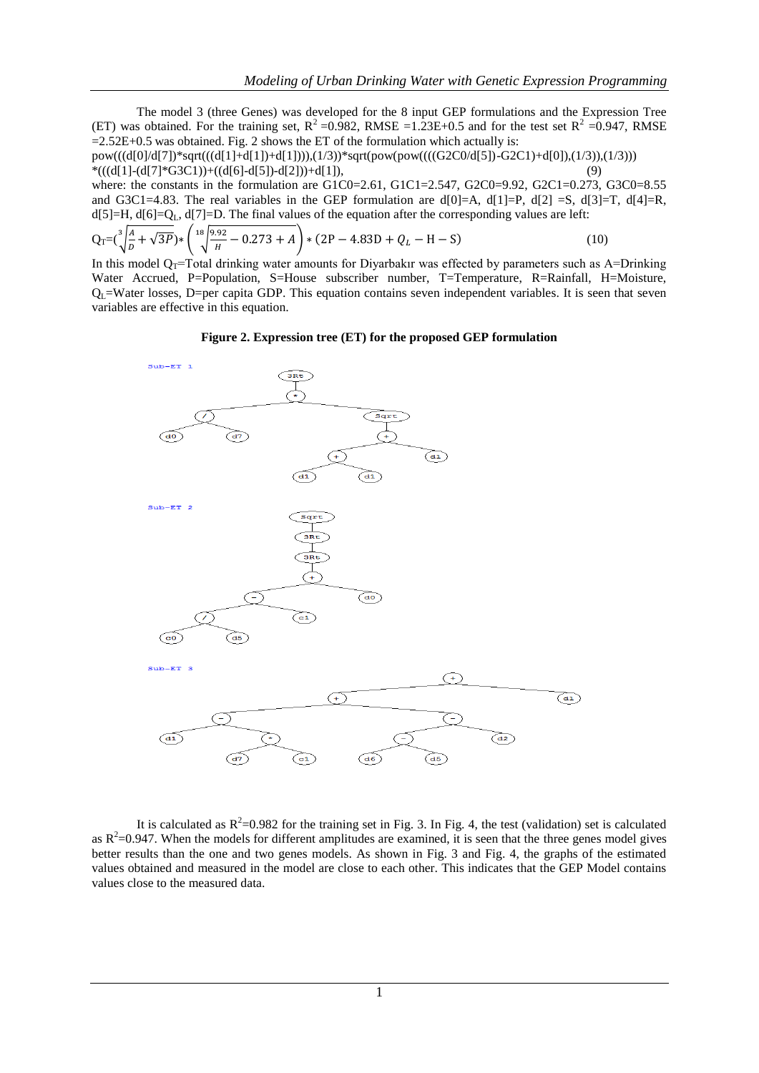The model 3 (three Genes) was developed for the 8 input GEP formulations and the Expression Tree (ET) was obtained. For the training set,  $R^2 = 0.982$ , RMSE =1.23E+0.5 and for the test set  $R^2 = 0.947$ , RMSE  $=2.52E+0.5$  was obtained. Fig. 2 shows the ET of the formulation which actually is:

pow(((d[0]/d[7])\*sqrt(((d[1]+d[1])+d[1]))),(1/3))\*sqrt(pow(pow((((G2C0/d[5])-G2C1)+d[0]),(1/3)),(1/3))) \*(((d[1]-(d[7]\*G3C1))+((d[6]-d[5])-d[2]))+d[1]), (9)

where: the constants in the formulation are G1C0=2.61, G1C1=2.547, G2C0=9.92, G2C1=0.273, G3C0=8.55 and G3C1=4.83. The real variables in the GEP formulation are  $d[0]=A$ ,  $d[1]=P$ ,  $d[2]=S$ ,  $d[3]=T$ ,  $d[4]=R$ ,  $d[5]=H$ ,  $d[6]=Q<sub>L</sub>$ ,  $d[7]=D$ . The final values of the equation after the corresponding values are left:

$$
Q_T = (\sqrt[3]{\frac{A}{D} + \sqrt{3P}}) * (\sqrt[18]{\frac{9.92}{H} - 0.273 + A}) * (2P - 4.83D + Q_L - H - S)
$$
(10)

In this model Q<sub>T</sub>=Total drinking water amounts for Diyarbakır was effected by parameters such as A=Drinking Water Accrued, P=Population, S=House subscriber number, T=Temperature, R=Rainfall, H=Moisture,  $Q_1$ =Water losses, D=per capita GDP. This equation contains seven independent variables. It is seen that seven variables are effective in this equation.

#### **Figure 2. Expression tree (ET) for the proposed GEP formulation**



It is calculated as  $R^2$ =0.982 for the training set in Fig. 3. In Fig. 4, the test (validation) set is calculated as  $R^2$ =0.947. When the models for different amplitudes are examined, it is seen that the three genes model gives better results than the one and two genes models. As shown in Fig. 3 and Fig. 4, the graphs of the estimated values obtained and measured in the model are close to each other. This indicates that the GEP Model contains values close to the measured data.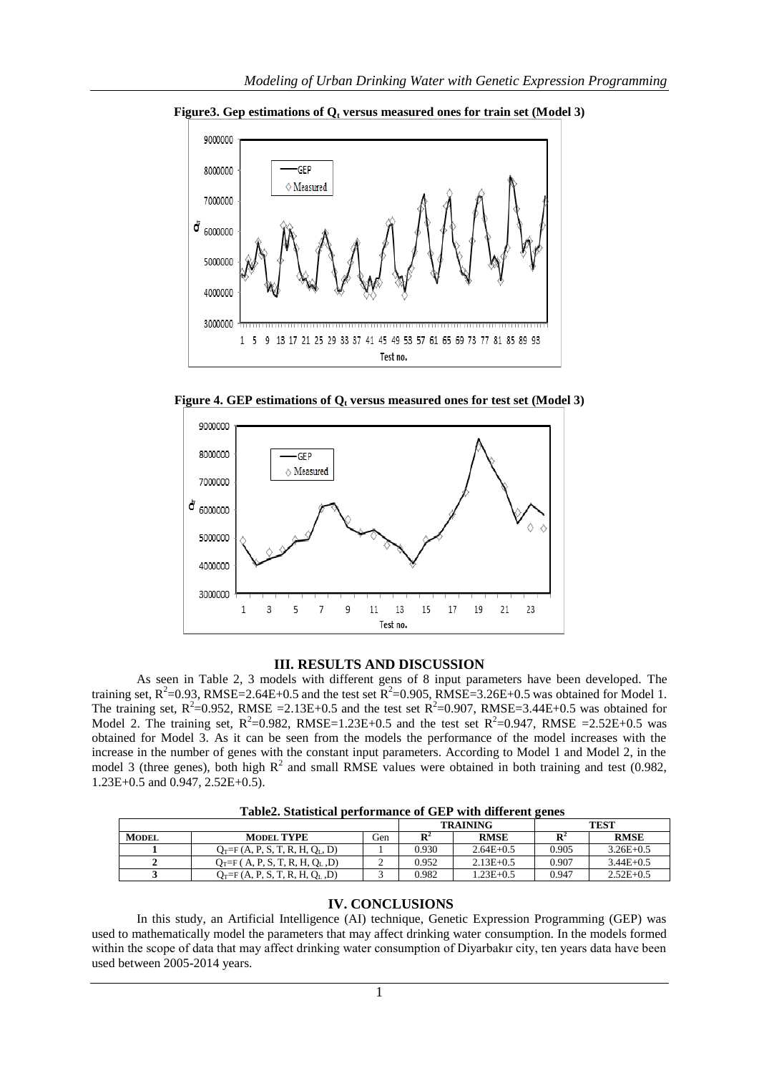

**Figure3. Gep estimations of Q<sup>t</sup> versus measured ones for train set (Model 3)**

**Figure 4. GEP estimations of Q<sup>t</sup> versus measured ones for test set (Model 3)**



# **III. RESULTS AND DISCUSSION**

As seen in Table 2, 3 models with different gens of 8 input parameters have been developed. The training set,  $R^2$ =0.93, RMSE=2.64E+0.5 and the test set  $R^2$ =0.905, RMSE=3.26E+0.5 was obtained for Model 1. The training set,  $R^2$ =0.952, RMSE =2.13E+0.5 and the test set  $R^2$ =0.907, RMSE=3.44E+0.5 was obtained for Model 2. The training set,  $R^2 = 0.982$ , RMSE=1.23E+0.5 and the test set  $R^2 = 0.947$ , RMSE =2.52E+0.5 was obtained for Model 3. As it can be seen from the models the performance of the model increases with the increase in the number of genes with the constant input parameters. According to Model 1 and Model 2, in the model 3 (three genes), both high  $R^2$  and small RMSE values were obtained in both training and test (0.982, 1.23E+0.5 and 0.947, 2.52E+0.5).

|              |                                     | <b>TRAINING</b> |       | <b>TEST</b>   |                |               |
|--------------|-------------------------------------|-----------------|-------|---------------|----------------|---------------|
| <b>MODEL</b> | <b>MODEL TYPE</b>                   | Gen             | Dʻ    | <b>RMSE</b>   | $\mathbf{R}^2$ | <b>RMSE</b>   |
|              | $Q_T = F(A, P, S, T, R, H, Q_L, D)$ |                 | 0.930 | $2.64E + 0.5$ | 0.905          | $3.26E + 0.5$ |
|              | $Q_T = F(A, P, S, T, R, H, Q_L, D)$ |                 | 0.952 | $2.13E + 0.5$ | 0.907          | $3.44E+0.5$   |
|              | $Q_T = F(A, P, S, T, R, H, Q_L, D)$ |                 | 0.982 | $1.23E + 0.5$ | 0.947          | $2.52E+0.5$   |

**Table2. Statistical performance of GEP with different genes**

# **IV. CONCLUSIONS**

In this study, an Artificial Intelligence (AI) technique, Genetic Expression Programming (GEP) was used to mathematically model the parameters that may affect drinking water consumption. In the models formed within the scope of data that may affect drinking water consumption of Diyarbakır city, ten years data have been used between 2005-2014 years.